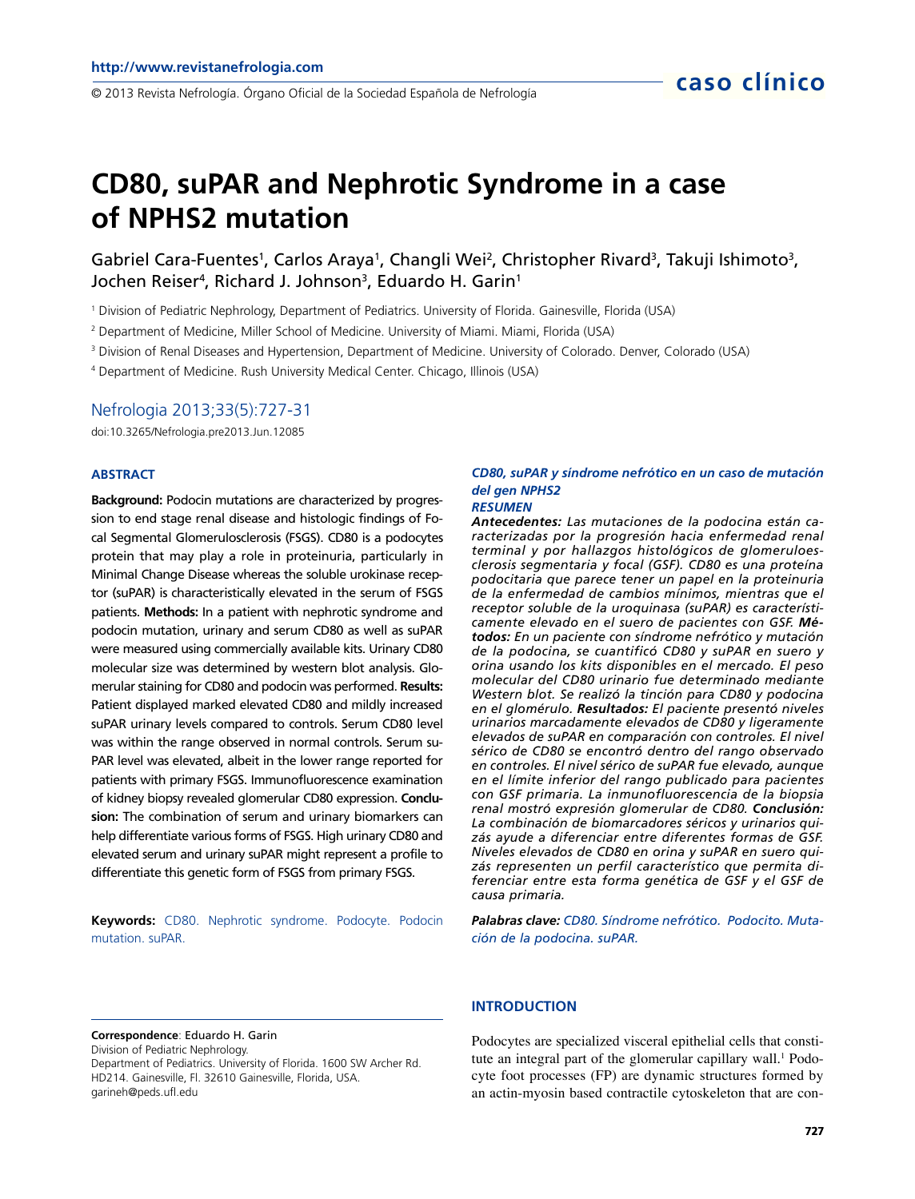en en 1976 en 1976 en 2013 Revista Nefrología.<br>© 2013 Revista Nefrología. Órgano Oficial de la Sociedad Española de Nefrología

# **CD80, suPAR and Nephrotic Syndrome in a case of NPHS2 mutation**

Gabriel Cara-Fuentes<sup>1</sup>, Carlos Araya<sup>1</sup>, Changli Wei<sup>2</sup>, Christopher Rivard<sup>3</sup>, Takuji Ishimoto<sup>3</sup>, Jochen Reiser<sup>4</sup> , Richard J. Johnson<sup>3</sup> , Eduardo H. Garin<sup>1</sup>

1 Division of Pediatric Nephrology, Department of Pediatrics. University of Florida. Gainesville, Florida (USA)

2 Department of Medicine, Miller School of Medicine. University of Miami. Miami, Florida (USA)

3 Division of Renal Diseases and Hypertension, Department of Medicine. University of Colorado. Denver, Colorado (USA)

4 Department of Medicine. Rush University Medical Center. Chicago, Illinois (USA)

### Nefrologia 2013;33(5):727-31

doi:10.3265/Nefrologia.pre2013.Jun.12085

#### **ABSTRACT**

**Background:** Podocin mutations are characterized by progression to end stage renal disease and histologic findings of Focal Segmental Glomerulosclerosis (FSGS). CD80 is a podocytes protein that may play a role in proteinuria, particularly in Minimal Change Disease whereas the soluble urokinase receptor (suPAR) is characteristically elevated in the serum of FSGS patients. **Methods:** In a patient with nephrotic syndrome and podocin mutation, urinary and serum CD80 as well as suPAR were measured using commercially available kits. Urinary CD80 molecular size was determined by western blot analysis. Glomerular staining for CD80 and podocin was performed. **Results:**  Patient displayed marked elevated CD80 and mildly increased suPAR urinary levels compared to controls. Serum CD80 level was within the range observed in normal controls. Serum su-PAR level was elevated, albeit in the lower range reported for patients with primary FSGS. Immunofluorescence examination of kidney biopsy revealed glomerular CD80 expression. **Conclusion:** The combination of serum and urinary biomarkers can help differentiate various forms of FSGS. High urinary CD80 and elevated serum and urinary suPAR might represent a profile to differentiate this genetic form of FSGS from primary FSGS.

**Keywords:** CD80. Nephrotic syndrome. Podocyte. Podocin mutation. suPAR.

#### **Correspondence**: Eduardo H. Garin

Division of Pediatric Nephrology. Department of Pediatrics. University of Florida. 1600 SW Archer Rd. HD214. Gainesville, Fl. 32610 Gainesville, Florida, USA. garineh@peds.ufl.edu

# *CD80, suPAR y síndrome nefrótico en un caso de mutación del gen NPHS2*

#### *RESUMEN*

*Antecedentes: Las mutaciones de la podocina están caracterizadas por la progresión hacia enfermedad renal terminal y por hallazgos histológicos de glomeruloesclerosis segmentaria y focal (GSF). CD80 es una proteína podocitaria que parece tener un papel en la proteinuria de la enfermedad de cambios mínimos, mientras que el receptor soluble de la uroquinasa (suPAR) es característicamente elevado en el suero de pacientes con GSF. Métodos: En un paciente con síndrome nefrótico y mutación de la podocina, se cuantificó CD80 y suPAR en suero y orina usando los kits disponibles en el mercado. El peso molecular del CD80 urinario fue determinado mediante Western blot. Se realizó la tinción para CD80 y podocina en el glomérulo. Resultados: El paciente presentó niveles urinarios marcadamente elevados de CD80 y ligeramente elevados de suPAR en comparación con controles. El nivel sérico de CD80 se encontró dentro del rango observado en controles. El nivel sérico de suPAR fue elevado, aunque en el límite inferior del rango publicado para pacientes con GSF primaria. La inmunofluorescencia de la biopsia renal mostró expresión glomerular de CD80. Conclusión: La combinación de biomarcadores séricos y urinarios quizás ayude a diferenciar entre diferentes formas de GSF. Niveles elevados de CD80 en orina y suPAR en suero quizás representen un perfil característico que permita diferenciar entre esta forma genética de GSF y el GSF de causa primaria.*

*Palabras clave: CD80. Síndrome nefrótico. Podocito. Mutación de la podocina. suPAR.*

#### **INTRODUCTION**

Podocytes are specialized visceral epithelial cells that constitute an integral part of the glomerular capillary wall.<sup>1</sup> Podocyte foot processes (FP) are dynamic structures formed by an actin-myosin based contractile cytoskeleton that are con-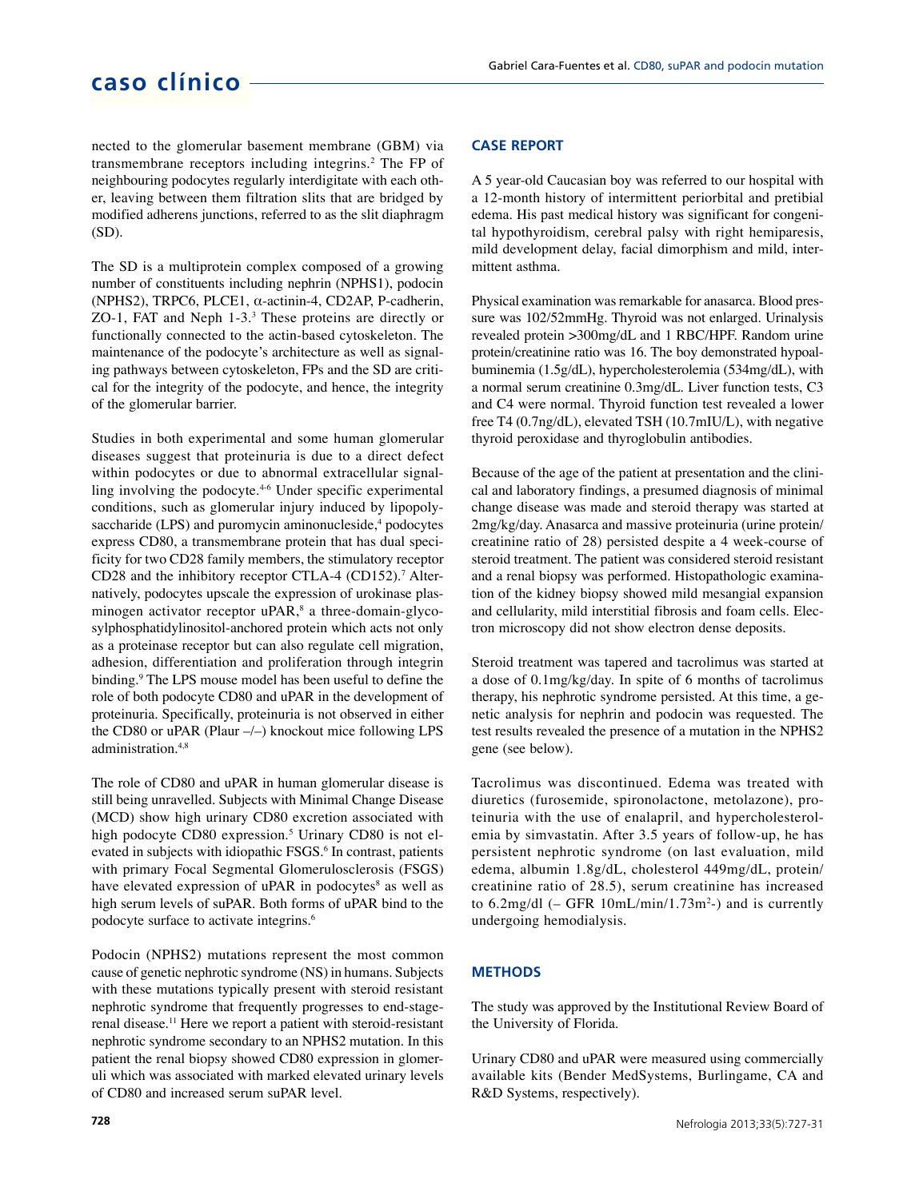# **caso clínico**

nected to the glomerular basement membrane (GBM) via transmembrane receptors including integrins.<sup>2</sup> The FP of neighbouring podocytes regularly interdigitate with each other, leaving between them filtration slits that are bridged by modified adherens junctions, referred to as the slit diaphragm (SD).

The SD is a multiprotein complex composed of a growing number of constituents including nephrin (NPHS1), podocin (NPHS2), TRPC6, PLCE1,  $\alpha$ -actinin-4, CD2AP, P-cadherin, ZO-1, FAT and Neph 1-3.<sup>3</sup> These proteins are directly or functionally connected to the actin-based cytoskeleton. The maintenance of the podocyte's architecture as well as signaling pathways between cytoskeleton, FPs and the SD are critical for the integrity of the podocyte, and hence, the integrity of the glomerular barrier.

Studies in both experimental and some human glomerular diseases suggest that proteinuria is due to a direct defect within podocytes or due to abnormal extracellular signalling involving the podocyte.<sup>4-6</sup> Under specific experimental conditions, such as glomerular injury induced by lipopolysaccharide (LPS) and puromycin aminonucleside,<sup>4</sup> podocytes express CD80, a transmembrane protein that has dual specificity for two CD28 family members, the stimulatory receptor CD28 and the inhibitory receptor CTLA-4 (CD152).<sup>7</sup> Alternatively, podocytes upscale the expression of urokinase plasminogen activator receptor uPAR,<sup>8</sup> a three-domain-glycosylphosphatidylinositol-anchored protein which acts not only as a proteinase receptor but can also regulate cell migration, adhesion, differentiation and proliferation through integrin binding.<sup>9</sup> The LPS mouse model has been useful to define the role of both podocyte CD80 and uPAR in the development of proteinuria. Specifically, proteinuria is not observed in either the CD80 or uPAR (Plaur –/–) knockout mice following LPS administration.4,8

The role of CD80 and uPAR in human glomerular disease is still being unravelled. Subjects with Minimal Change Disease (MCD) show high urinary CD80 excretion associated with high podocyte CD80 expression.<sup>5</sup> Urinary CD80 is not elevated in subjects with idiopathic FSGS.<sup>6</sup> In contrast, patients with primary Focal Segmental Glomerulosclerosis (FSGS) have elevated expression of uPAR in podocytes<sup>8</sup> as well as high serum levels of suPAR. Both forms of uPAR bind to the podocyte surface to activate integrins.<sup>6</sup>

Podocin (NPHS2) mutations represent the most common cause of genetic nephrotic syndrome (NS) in humans. Subjects with these mutations typically present with steroid resistant nephrotic syndrome that frequently progresses to end-stagerenal disease.<sup>11</sup> Here we report a patient with steroid-resistant nephrotic syndrome secondary to an NPHS2 mutation. In this patient the renal biopsy showed CD80 expression in glomeruli which was associated with marked elevated urinary levels of CD80 and increased serum suPAR level.

## **CASE REPORT**

A 5 year-old Caucasian boy was referred to our hospital with a 12-month history of intermittent periorbital and pretibial edema. His past medical history was significant for congenital hypothyroidism, cerebral palsy with right hemiparesis, mild development delay, facial dimorphism and mild, intermittent asthma.

Physical examination was remarkable for anasarca. Blood pressure was 102/52mmHg. Thyroid was not enlarged. Urinalysis revealed protein >300mg/dL and 1 RBC/HPF. Random urine protein/creatinine ratio was 16. The boy demonstrated hypoalbuminemia (1.5g/dL), hypercholesterolemia (534mg/dL), with a normal serum creatinine 0.3mg/dL. Liver function tests, C3 and C4 were normal. Thyroid function test revealed a lower free T4 (0.7ng/dL), elevated TSH (10.7mIU/L), with negative thyroid peroxidase and thyroglobulin antibodies.

Because of the age of the patient at presentation and the clinical and laboratory findings, a presumed diagnosis of minimal change disease was made and steroid therapy was started at 2mg/kg/day. Anasarca and massive proteinuria (urine protein/ creatinine ratio of 28) persisted despite a 4 week-course of steroid treatment. The patient was considered steroid resistant and a renal biopsy was performed. Histopathologic examination of the kidney biopsy showed mild mesangial expansion and cellularity, mild interstitial fibrosis and foam cells. Electron microscopy did not show electron dense deposits.

Steroid treatment was tapered and tacrolimus was started at a dose of 0.1mg/kg/day. In spite of 6 months of tacrolimus therapy, his nephrotic syndrome persisted. At this time, a genetic analysis for nephrin and podocin was requested. The test results revealed the presence of a mutation in the NPHS2 gene (see below).

Tacrolimus was discontinued. Edema was treated with diuretics (furosemide, spironolactone, metolazone), proteinuria with the use of enalapril, and hypercholesterolemia by simvastatin. After 3.5 years of follow-up, he has persistent nephrotic syndrome (on last evaluation, mild edema, albumin 1.8g/dL, cholesterol 449mg/dL, protein/ creatinine ratio of 28.5), serum creatinine has increased to  $6.2 \text{mg/dl}$  (– GFR  $10 \text{mL/min}/1.73 \text{m}^2$ -) and is currently undergoing hemodialysis.

## **METHODS**

The study was approved by the Institutional Review Board of the University of Florida.

Urinary CD80 and uPAR were measured using commercially available kits (Bender MedSystems, Burlingame, CA and R&D Systems, respectively).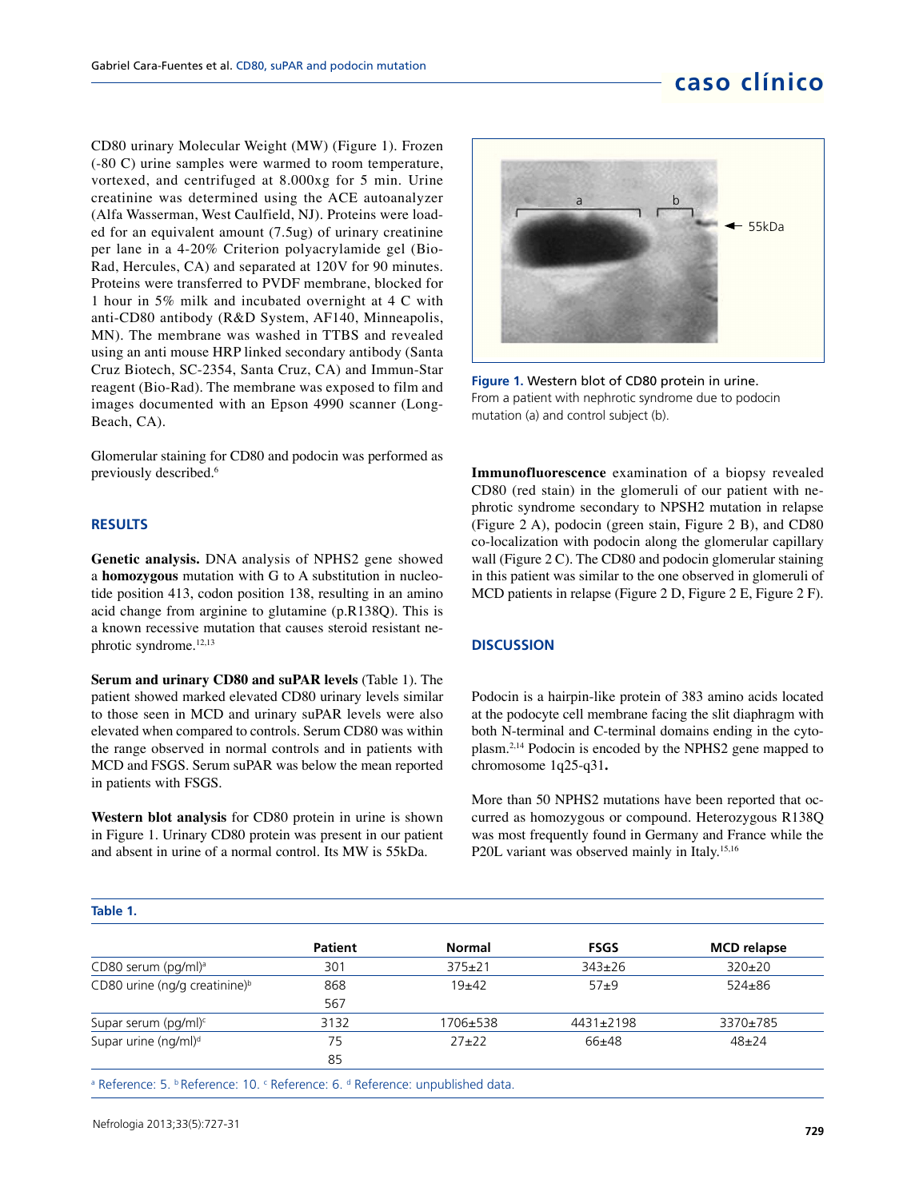# **caso clínico**

CD80 urinary Molecular Weight (MW) (Figure 1). Frozen (-80 C) urine samples were warmed to room temperature, vortexed, and centrifuged at 8.000xg for 5 min. Urine creatinine was determined using the ACE autoanalyzer (Alfa Wasserman, West Caulfield, NJ). Proteins were loaded for an equivalent amount (7.5ug) of urinary creatinine per lane in a 4-20% Criterion polyacrylamide gel (Bio-Rad, Hercules, CA) and separated at 120V for 90 minutes. Proteins were transferred to PVDF membrane, blocked for 1 hour in 5% milk and incubated overnight at 4 C with anti-CD80 antibody (R&D System, AF140, Minneapolis, MN). The membrane was washed in TTBS and revealed using an anti mouse HRP linked secondary antibody (Santa Cruz Biotech, SC-2354, Santa Cruz, CA) and Immun-Star reagent (Bio-Rad). The membrane was exposed to film and images documented with an Epson 4990 scanner (Long-Beach, CA).

Glomerular staining for CD80 and podocin was performed as previously described.<sup>6</sup>

### **RESULTS**

**Genetic analysis.** DNA analysis of NPHS2 gene showed a **homozygous** mutation with G to A substitution in nucleotide position 413, codon position 138, resulting in an amino acid change from arginine to glutamine (p.R138Q). This is a known recessive mutation that causes steroid resistant nephrotic syndrome.<sup>12,13</sup>

**Serum and urinary CD80 and suPAR levels** (Table 1). The patient showed marked elevated CD80 urinary levels similar to those seen in MCD and urinary suPAR levels were also elevated when compared to controls. Serum CD80 was within the range observed in normal controls and in patients with MCD and FSGS. Serum suPAR was below the mean reported in patients with FSGS.

**Western blot analysis** for CD80 protein in urine is shown in Figure 1. Urinary CD80 protein was present in our patient and absent in urine of a normal control. Its MW is 55kDa.



**Figure 1.** Western blot of CD80 protein in urine. From a patient with nephrotic syndrome due to podocin mutation (a) and control subject (b).

**Immunofluorescence** examination of a biopsy revealed CD80 (red stain) in the glomeruli of our patient with nephrotic syndrome secondary to NPSH2 mutation in relapse (Figure 2 A), podocin (green stain, Figure 2 B), and CD80 co-localization with podocin along the glomerular capillary wall (Figure 2 C). The CD80 and podocin glomerular staining in this patient was similar to the one observed in glomeruli of MCD patients in relapse (Figure 2 D, Figure 2 E, Figure 2 F).

#### **DISCUSSION**

Podocin is a hairpin-like protein of 383 amino acids located at the podocyte cell membrane facing the slit diaphragm with both N-terminal and C-terminal domains ending in the cytoplasm.2,14 Podocin is encoded by the NPHS2 gene mapped to chromosome 1q25-q31**.**

More than 50 NPHS2 mutations have been reported that occurred as homozygous or compound. Heterozygous R138Q was most frequently found in Germany and France while the P20L variant was observed mainly in Italy.<sup>15,16</sup>

#### **Table 1.**

|                                                                                                                                                                                                                                                                     | <b>Patient</b> | <b>Normal</b>                   | <b>FSGS</b>  | <b>MCD</b> relapse |
|---------------------------------------------------------------------------------------------------------------------------------------------------------------------------------------------------------------------------------------------------------------------|----------------|---------------------------------|--------------|--------------------|
| CD80 serum (pg/ml) <sup>a</sup>                                                                                                                                                                                                                                     | 301            | $375 \pm 21$                    | $343 \pm 26$ | $320\pm20$         |
| CD80 urine (ng/g creatinine) <sup>b</sup>                                                                                                                                                                                                                           | 868            | $19+42$                         | $57+9$       | $524 \pm 86$       |
|                                                                                                                                                                                                                                                                     | 567            |                                 |              |                    |
| Supar serum (pg/ml)c                                                                                                                                                                                                                                                | 3132           | 1706±538                        | 4431±2198    | 3370±785           |
| Supar urine (ng/ml) <sup>d</sup>                                                                                                                                                                                                                                    | 75             | $27+22$                         | $66+48$      | $48 + 24$          |
|                                                                                                                                                                                                                                                                     | 85             |                                 |              |                    |
| $\sim$ $\sim$ $\sim$ $\sim$<br>$\blacksquare$ in the second contract of the second contract of the second contract of the second contract of the second contract of the second contract of the second contract of the second contract of the second contract of the |                | the property of the property of |              |                    |

<sup>a</sup> Reference: 5. <sup>b</sup> Reference: 10. <sup>c</sup> Reference: 6. <sup>d</sup> Reference: unpublished data.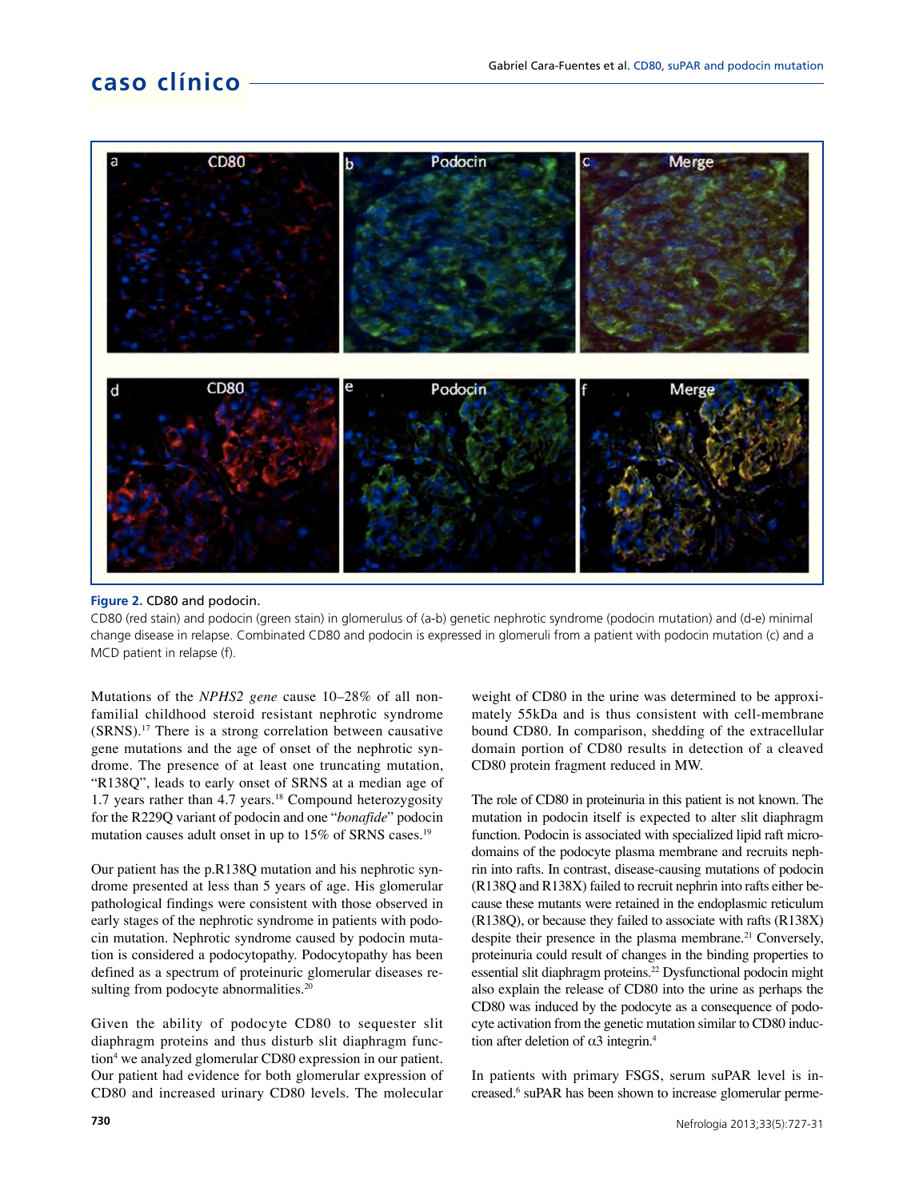# **caso clínico**



#### **Figure 2.** CD80 and podocin.

CD80 (red stain) and podocin (green stain) in glomerulus of (a-b) genetic nephrotic syndrome (podocin mutation) and (d-e) minimal change disease in relapse. Combinated CD80 and podocin is expressed in glomeruli from a patient with podocin mutation (c) and a MCD patient in relapse (f).

Mutations of the *NPHS2 gene* cause 10–28% of all nonfamilial childhood steroid resistant nephrotic syndrome (SRNS).<sup>17</sup> There is a strong correlation between causative gene mutations and the age of onset of the nephrotic syndrome. The presence of at least one truncating mutation, "R138Q", leads to early onset of SRNS at a median age of 1.7 years rather than 4.7 years.<sup>18</sup> Compound heterozygosity for the R229Q variant of podocin and one "*bonafide*" podocin mutation causes adult onset in up to 15% of SRNS cases.<sup>19</sup>

Our patient has the p.R138Q mutation and his nephrotic syndrome presented at less than 5 years of age. His glomerular pathological findings were consistent with those observed in early stages of the nephrotic syndrome in patients with podocin mutation. Nephrotic syndrome caused by podocin mutation is considered a podocytopathy. Podocytopathy has been defined as a spectrum of proteinuric glomerular diseases resulting from podocyte abnormalities.<sup>20</sup>

Given the ability of podocyte CD80 to sequester slit diaphragm proteins and thus disturb slit diaphragm function<sup>4</sup> we analyzed glomerular CD80 expression in our patient. Our patient had evidence for both glomerular expression of CD80 and increased urinary CD80 levels. The molecular weight of CD80 in the urine was determined to be approximately 55kDa and is thus consistent with cell-membrane bound CD80. In comparison, shedding of the extracellular domain portion of CD80 results in detection of a cleaved CD80 protein fragment reduced in MW.

The role of CD80 in proteinuria in this patient is not known. The mutation in podocin itself is expected to alter slit diaphragm function. Podocin is associated with specialized lipid raft microdomains of the podocyte plasma membrane and recruits nephrin into rafts. In contrast, disease-causing mutations of podocin (R138Q and R138X) failed to recruit nephrin into rafts either because these mutants were retained in the endoplasmic reticulum (R138Q), or because they failed to associate with rafts (R138X) despite their presence in the plasma membrane.<sup>21</sup> Conversely, proteinuria could result of changes in the binding properties to essential slit diaphragm proteins.<sup>22</sup> Dysfunctional podocin might also explain the release of CD80 into the urine as perhaps the CD80 was induced by the podocyte as a consequence of podocyte activation from the genetic mutation similar to CD80 induction after deletion of  $\alpha$ 3 integrin.<sup>4</sup>

In patients with primary FSGS, serum suPAR level is increased.<sup>6</sup> suPAR has been shown to increase glomerular perme